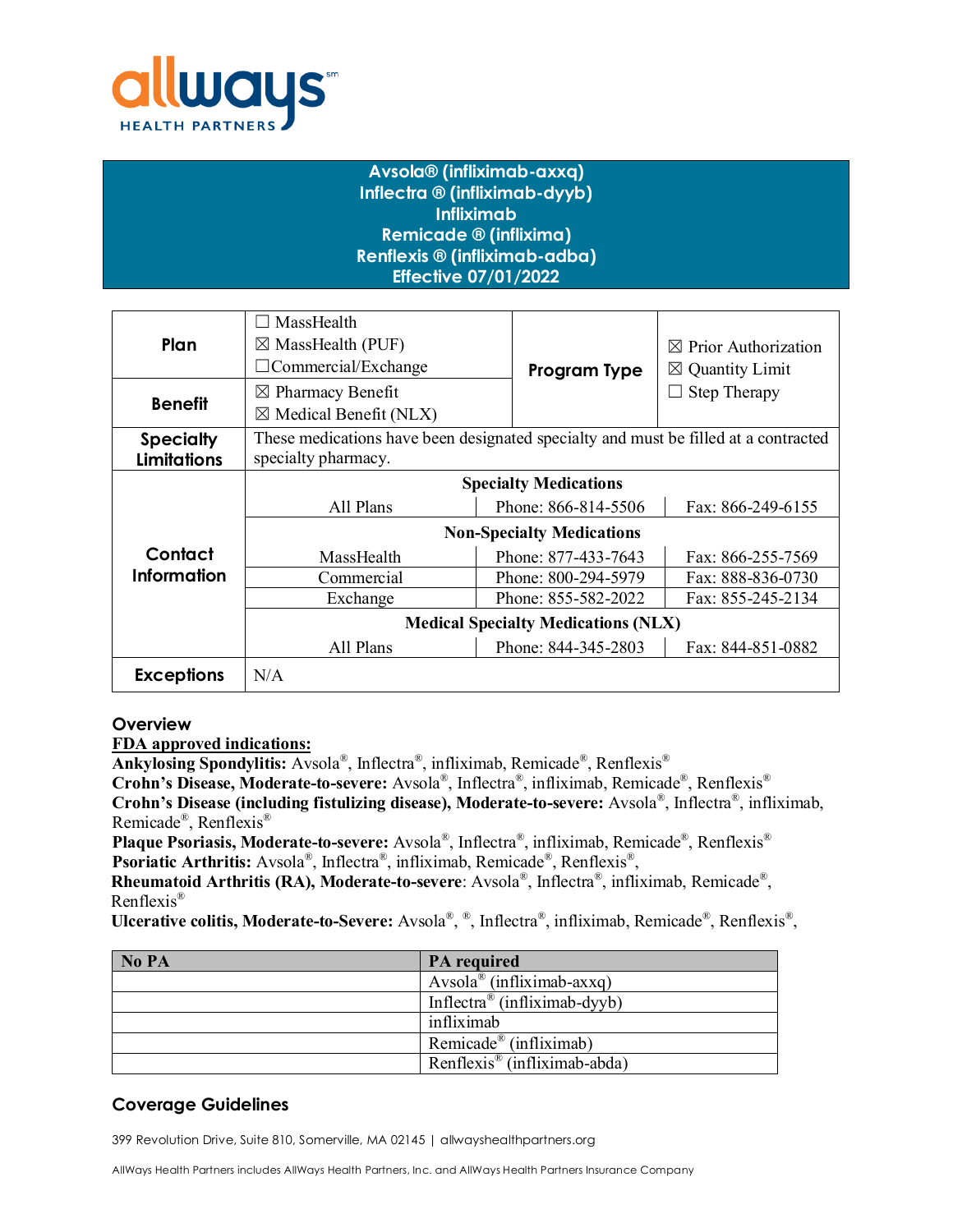

# **Avsola® (infliximab-axxq) Inflectra ® (infliximab-dyyb) Infliximab Remicade ® (inflixima) Renflexis ® (infliximab-adba) Effective 07/01/2022**

| Plan                                   | MassHealth<br>$\boxtimes$ MassHealth (PUF)<br>$\Box$ Commercial/Exchange                                   | Program Type        | $\boxtimes$ Prior Authorization<br>$\boxtimes$ Quantity Limit |  |
|----------------------------------------|------------------------------------------------------------------------------------------------------------|---------------------|---------------------------------------------------------------|--|
| <b>Benefit</b>                         | $\boxtimes$ Pharmacy Benefit<br>$\boxtimes$ Medical Benefit (NLX)                                          |                     | <b>Step Therapy</b>                                           |  |
| <b>Specialty</b><br><b>Limitations</b> | These medications have been designated specialty and must be filled at a contracted<br>specialty pharmacy. |                     |                                                               |  |
|                                        | <b>Specialty Medications</b>                                                                               |                     |                                                               |  |
|                                        | All Plans                                                                                                  | Phone: 866-814-5506 | Fax: 866-249-6155                                             |  |
|                                        | <b>Non-Specialty Medications</b>                                                                           |                     |                                                               |  |
| Contact<br>Information                 | MassHealth                                                                                                 | Phone: 877-433-7643 | Fax: 866-255-7569                                             |  |
|                                        | Commercial                                                                                                 | Phone: 800-294-5979 | Fax: 888-836-0730                                             |  |
|                                        | Exchange                                                                                                   | Phone: 855-582-2022 | Fax: 855-245-2134                                             |  |
|                                        | <b>Medical Specialty Medications (NLX)</b>                                                                 |                     |                                                               |  |
|                                        | All Plans                                                                                                  | Phone: 844-345-2803 | Fax: 844-851-0882                                             |  |
| <b>Exceptions</b>                      | N/A                                                                                                        |                     |                                                               |  |

## **Overview**

**FDA approved indications:** 

**Ankylosing Spondylitis:** Avsola®, Inflectra®, infliximab, Remicade®, Renflexis®

**Crohn's Disease, Moderate-to-severe:** Avsola®, Inflectra®, infliximab, Remicade®, Renflexis® **Crohn's Disease (including fistulizing disease), Moderate-to-severe:** Avsola®, Inflectra®, infliximab, Remicade®, Renflexis®

**Plaque Psoriasis, Moderate-to-severe:** Avsola®, Inflectra®, infliximab, Remicade®, Renflexis® **Psoriatic Arthritis:** Avsola®, Inflectra®, infliximab, Remicade®, Renflexis®,

**Rheumatoid Arthritis (RA), Moderate-to-severe**: Avsola®, Inflectra®, infliximab, Remicade®, Renflexis®

**Ulcerative colitis, Moderate-to-Severe:** Avsola®, ®, Inflectra®, infliximab, Remicade®, Renflexis®,

| No PA | <b>PA</b> required                       |
|-------|------------------------------------------|
|       | Avsola <sup>®</sup> (infliximab-axxq)    |
|       | Inflectra <sup>®</sup> (infliximab-dyyb) |
|       | infliximab                               |
|       | Remicade <sup>®</sup> (infliximab)       |
|       | Renflexis <sup>®</sup> (infliximab-abda) |

# **Coverage Guidelines**

399 Revolution Drive, Suite 810, Somerville, MA 02145 | allwayshealthpartners.org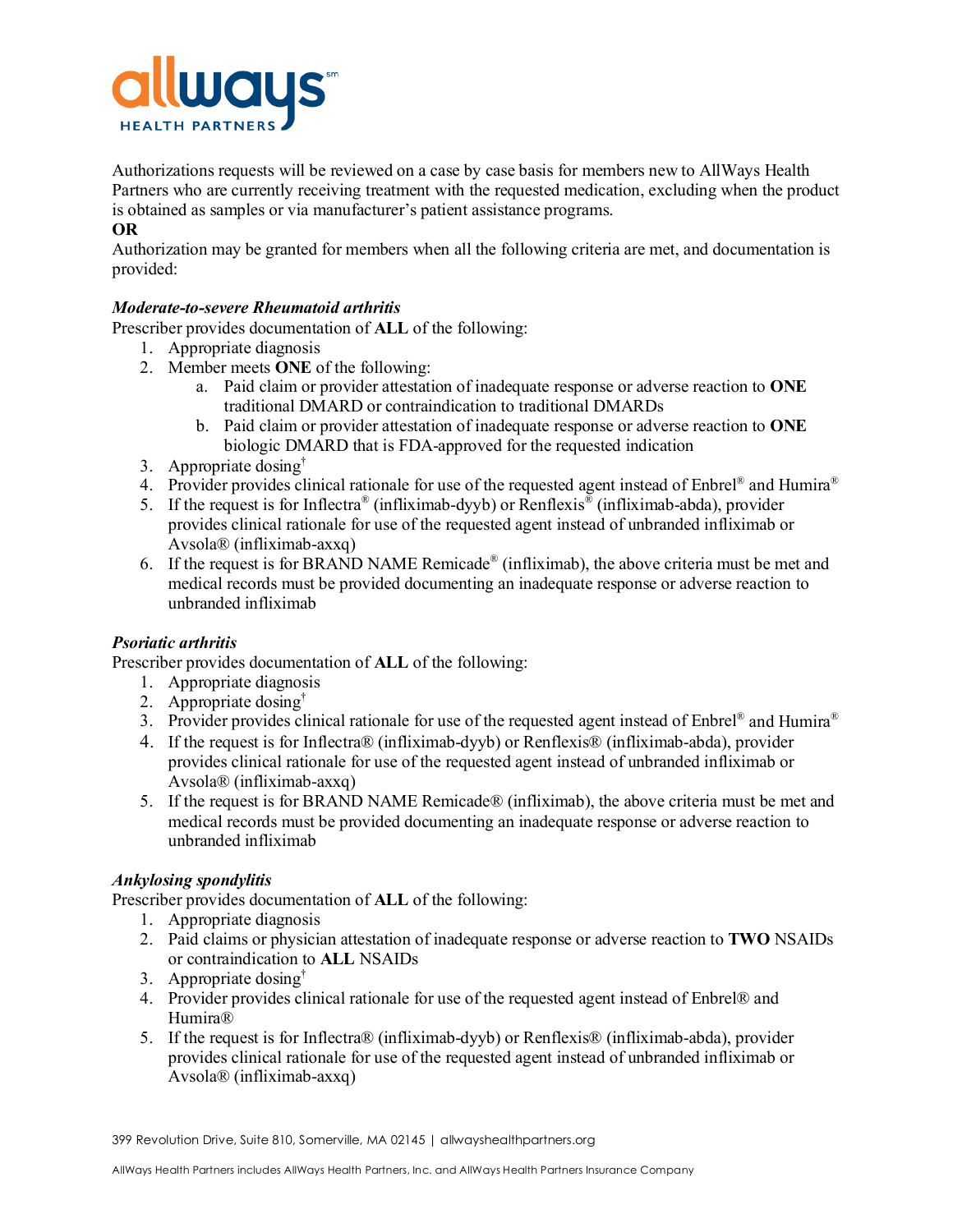

Authorizations requests will be reviewed on a case by case basis for members new to AllWays Health Partners who are currently receiving treatment with the requested medication, excluding when the product is obtained as samples or via manufacturer's patient assistance programs.

## **OR**

Authorization may be granted for members when all the following criteria are met, and documentation is provided:

## *Moderate-to-severe Rheumatoid arthritis*

Prescriber provides documentation of **ALL** of the following:

- 1. Appropriate diagnosis
- 2. Member meets **ONE** of the following:
	- a. Paid claim or provider attestation of inadequate response or adverse reaction to **ONE** traditional DMARD or contraindication to traditional DMARDs
	- b. Paid claim or provider attestation of inadequate response or adverse reaction to **ONE** biologic DMARD that is FDA-approved for the requested indication
- 3. Appropriate dosing†
- 4. Provider provides clinical rationale for use of the requested agent instead of Enbrel<sup>®</sup> and Humira<sup>®</sup>
- 5. If the request is for Inflectra<sup>®</sup> (infliximab-dyyb) or Renflexis<sup>®</sup> (infliximab-abda), provider provides clinical rationale for use of the requested agent instead of unbranded infliximab or Avsola® (infliximab-axxq)
- 6. If the request is for BRAND NAME Remicade<sup>®</sup> (infliximab), the above criteria must be met and medical records must be provided documenting an inadequate response or adverse reaction to unbranded infliximab

## *Psoriatic arthritis*

Prescriber provides documentation of **ALL** of the following:

- 1. Appropriate diagnosis
- 2. Appropriate dosing<sup>†</sup>
- 3. Provider provides clinical rationale for use of the requested agent instead of Enbrel<sup>®</sup> and Humira<sup>®</sup>
- 4. If the request is for Inflectra® (infliximab-dyyb) or Renflexis® (infliximab-abda), provider provides clinical rationale for use of the requested agent instead of unbranded infliximab or Avsola® (infliximab-axxq)
- 5. If the request is for BRAND NAME Remicade® (infliximab), the above criteria must be met and medical records must be provided documenting an inadequate response or adverse reaction to unbranded infliximab

## *Ankylosing spondylitis*

Prescriber provides documentation of **ALL** of the following:

- 1. Appropriate diagnosis
- 2. Paid claims or physician attestation of inadequate response or adverse reaction to **TWO** NSAIDs or contraindication to **ALL** NSAIDs
- 3. Appropriate dosing†
- 4. Provider provides clinical rationale for use of the requested agent instead of Enbrel® and Humira®
- 5. If the request is for Inflectra® (infliximab-dyyb) or Renflexis® (infliximab-abda), provider provides clinical rationale for use of the requested agent instead of unbranded infliximab or Avsola® (infliximab-axxq)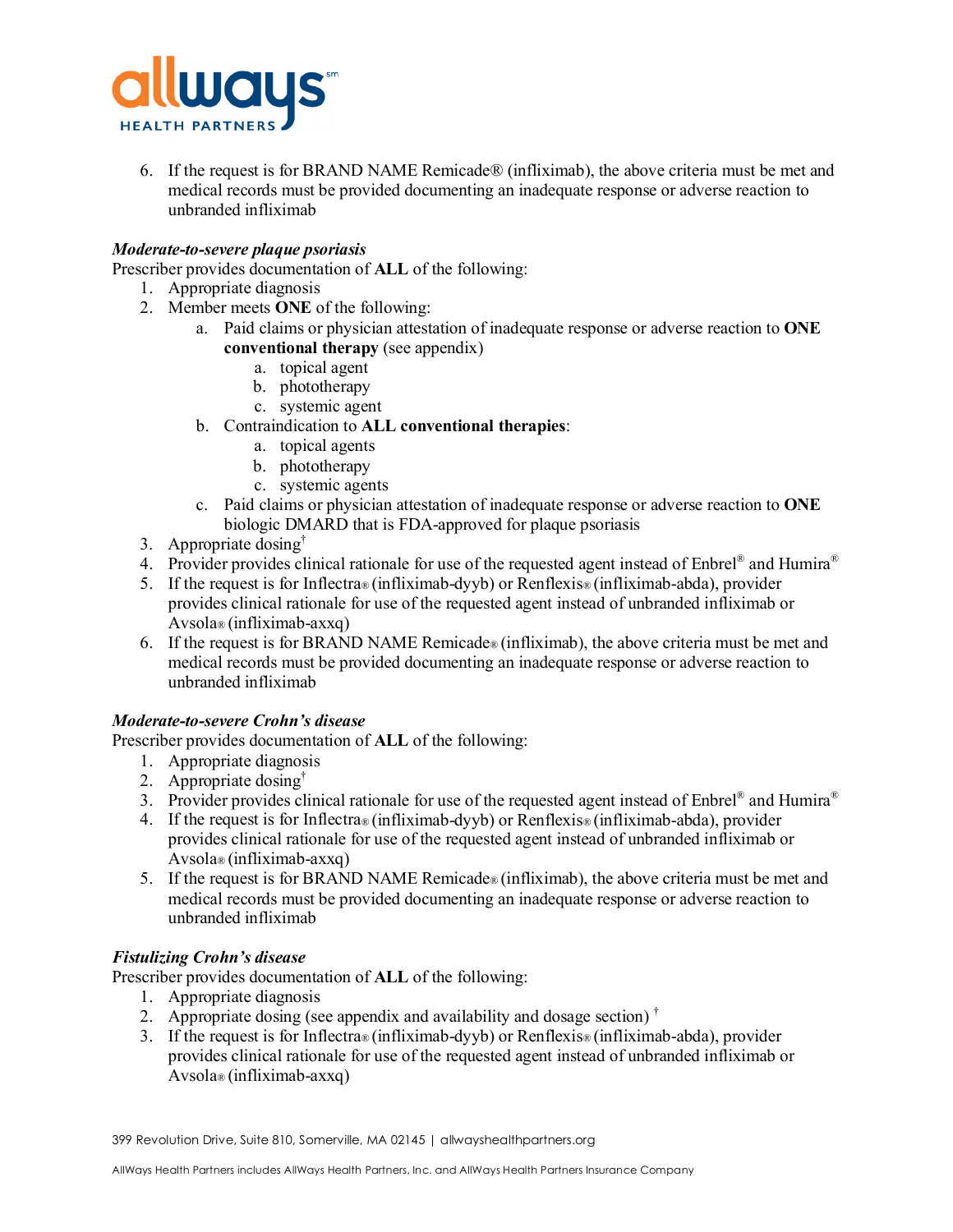

6. If the request is for BRAND NAME Remicade® (infliximab), the above criteria must be met and medical records must be provided documenting an inadequate response or adverse reaction to unbranded infliximab

## *Moderate-to-severe plaque psoriasis*

Prescriber provides documentation of **ALL** of the following:

- 1. Appropriate diagnosis
- 2. Member meets **ONE** of the following:
	- a. Paid claims or physician attestation of inadequate response or adverse reaction to **ONE conventional therapy** (see appendix)
		- a. topical agent
		- b. phototherapy
		- c. systemic agent
	- b. Contraindication to **ALL conventional therapies**:
		- a. topical agents
		- b. phototherapy
		- c. systemic agents
	- c. Paid claims or physician attestation of inadequate response or adverse reaction to **ONE** biologic DMARD that is FDA-approved for plaque psoriasis
- 3. Appropriate dosing<sup>†</sup>
- 4. Provider provides clinical rationale for use of the requested agent instead of Enbrel® and Humira®
- 5. If the request is for Inflectra® (infliximab-dyyb) or Renflexis® (infliximab-abda), provider provides clinical rationale for use of the requested agent instead of unbranded infliximab or Avsola® (infliximab-axxq)
- 6. If the request is for BRAND NAME Remicade® (infliximab), the above criteria must be met and medical records must be provided documenting an inadequate response or adverse reaction to unbranded infliximab

## *Moderate-to-severe Crohn's disease*

Prescriber provides documentation of **ALL** of the following:

- 1. Appropriate diagnosis
- 2. Appropriate dosing†
- 3. Provider provides clinical rationale for use of the requested agent instead of Enbrel® and Humira®
- 4. If the request is for Inflectra® (infliximab-dyyb) or Renflexis® (infliximab-abda), provider provides clinical rationale for use of the requested agent instead of unbranded infliximab or Avsola® (infliximab-axxq)
- 5. If the request is for BRAND NAME Remicade® (infliximab), the above criteria must be met and medical records must be provided documenting an inadequate response or adverse reaction to unbranded infliximab

## *Fistulizing Crohn's disease*

Prescriber provides documentation of **ALL** of the following:

- 1. Appropriate diagnosis
- 2. Appropriate dosing (see appendix and availability and dosage section)  $\dagger$
- 3. If the request is for Inflectra® (infliximab-dyyb) or Renflexis® (infliximab-abda), provider provides clinical rationale for use of the requested agent instead of unbranded infliximab or Avsola® (infliximab-axxq)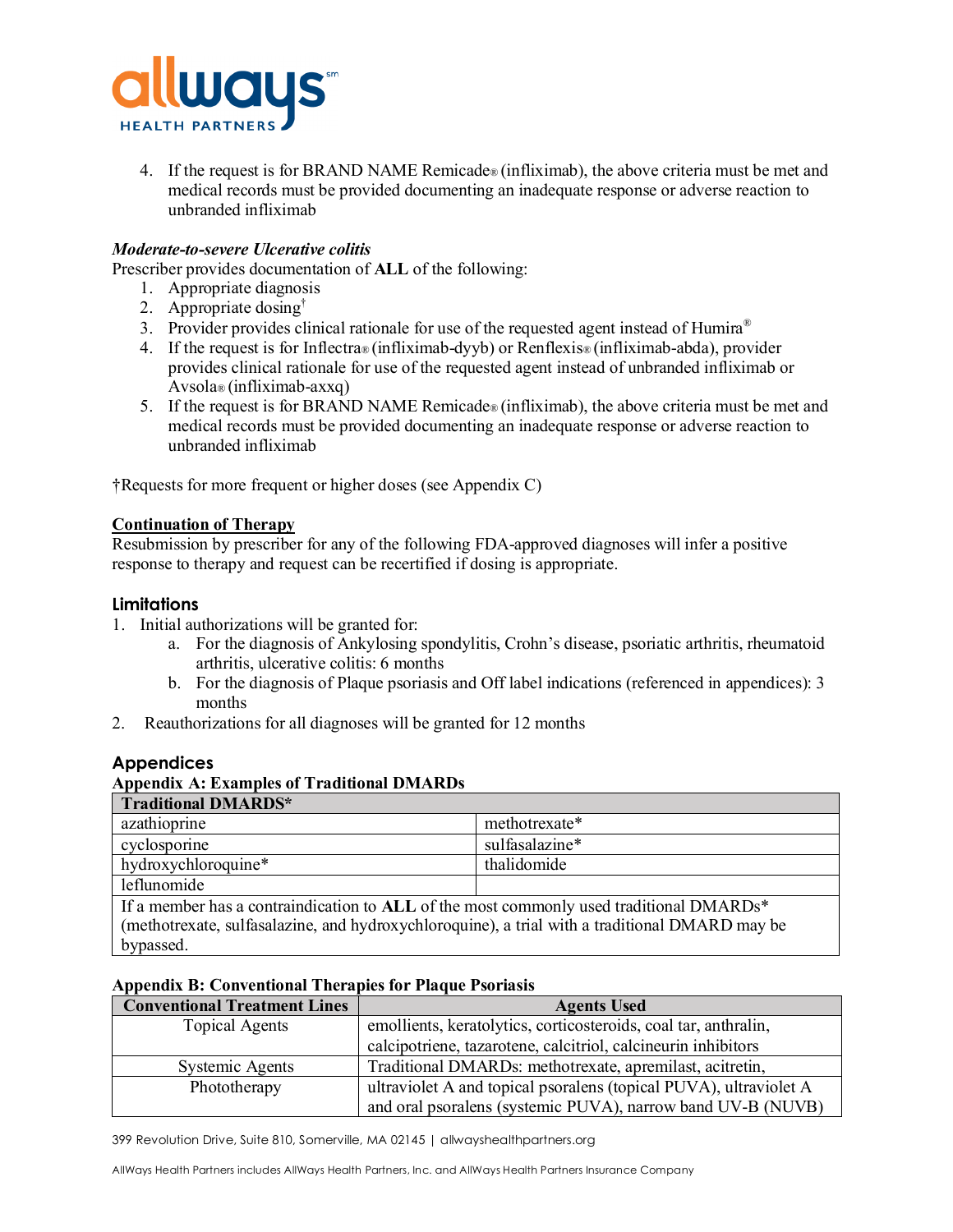

4. If the request is for BRAND NAME Remicade® (infliximab), the above criteria must be met and medical records must be provided documenting an inadequate response or adverse reaction to unbranded infliximab

## *Moderate-to-severe Ulcerative colitis*

Prescriber provides documentation of **ALL** of the following:

- 1. Appropriate diagnosis
- 2. Appropriate dosing†
- 3. Provider provides clinical rationale for use of the requested agent instead of Humira<sup>®</sup>
- 4. If the request is for Inflectra® (infliximab-dyyb) or Renflexis® (infliximab-abda), provider provides clinical rationale for use of the requested agent instead of unbranded infliximab or Avsola® (infliximab-axxq)
- 5. If the request is for BRAND NAME Remicade® (infliximab), the above criteria must be met and medical records must be provided documenting an inadequate response or adverse reaction to unbranded infliximab

†Requests for more frequent or higher doses (see Appendix C)

## **Continuation of Therapy**

Resubmission by prescriber for any of the following FDA-approved diagnoses will infer a positive response to therapy and request can be recertified if dosing is appropriate.

## **Limitations**

- 1. Initial authorizations will be granted for:
	- a. For the diagnosis of Ankylosing spondylitis, Crohn's disease, psoriatic arthritis, rheumatoid arthritis, ulcerative colitis: 6 months
	- b. For the diagnosis of Plaque psoriasis and Off label indications (referenced in appendices): 3 months
- 2. Reauthorizations for all diagnoses will be granted for 12 months

## **Appendices**

## **Appendix A: Examples of Traditional DMARDs**

| Traditional DMARDS*                                                                            |                |  |  |  |
|------------------------------------------------------------------------------------------------|----------------|--|--|--|
| azathioprine                                                                                   | methotrexate*  |  |  |  |
| cyclosporine                                                                                   | sulfasalazine* |  |  |  |
| hydroxychloroquine*                                                                            | thalidomide    |  |  |  |
| leflunomide                                                                                    |                |  |  |  |
| If a member has a contraindication to ALL of the most commonly used traditional DMARDs*        |                |  |  |  |
| (methotrexate, sulfasalazine, and hydroxychloroquine), a trial with a traditional DMARD may be |                |  |  |  |
| bypassed.                                                                                      |                |  |  |  |

#### **Appendix B: Conventional Therapies for Plaque Psoriasis**

| <b>Conventional Treatment Lines</b> | <b>Agents Used</b>                                                |  |
|-------------------------------------|-------------------------------------------------------------------|--|
| Topical Agents                      | emollients, keratolytics, corticosteroids, coal tar, anthralin,   |  |
|                                     | calcipotriene, tazarotene, calcitriol, calcineurin inhibitors     |  |
| Systemic Agents                     | Traditional DMARDs: methotrexate, apremilast, acitretin,          |  |
| Phototherapy                        | ultraviolet A and topical psoralens (topical PUVA), ultraviolet A |  |
|                                     | and oral psoralens (systemic PUVA), narrow band UV-B (NUVB)       |  |

399 Revolution Drive, Suite 810, Somerville, MA 02145 | allwayshealthpartners.org

AllWays Health Partners includes AllWays Health Partners, Inc. and AllWays Health Partners Insurance Company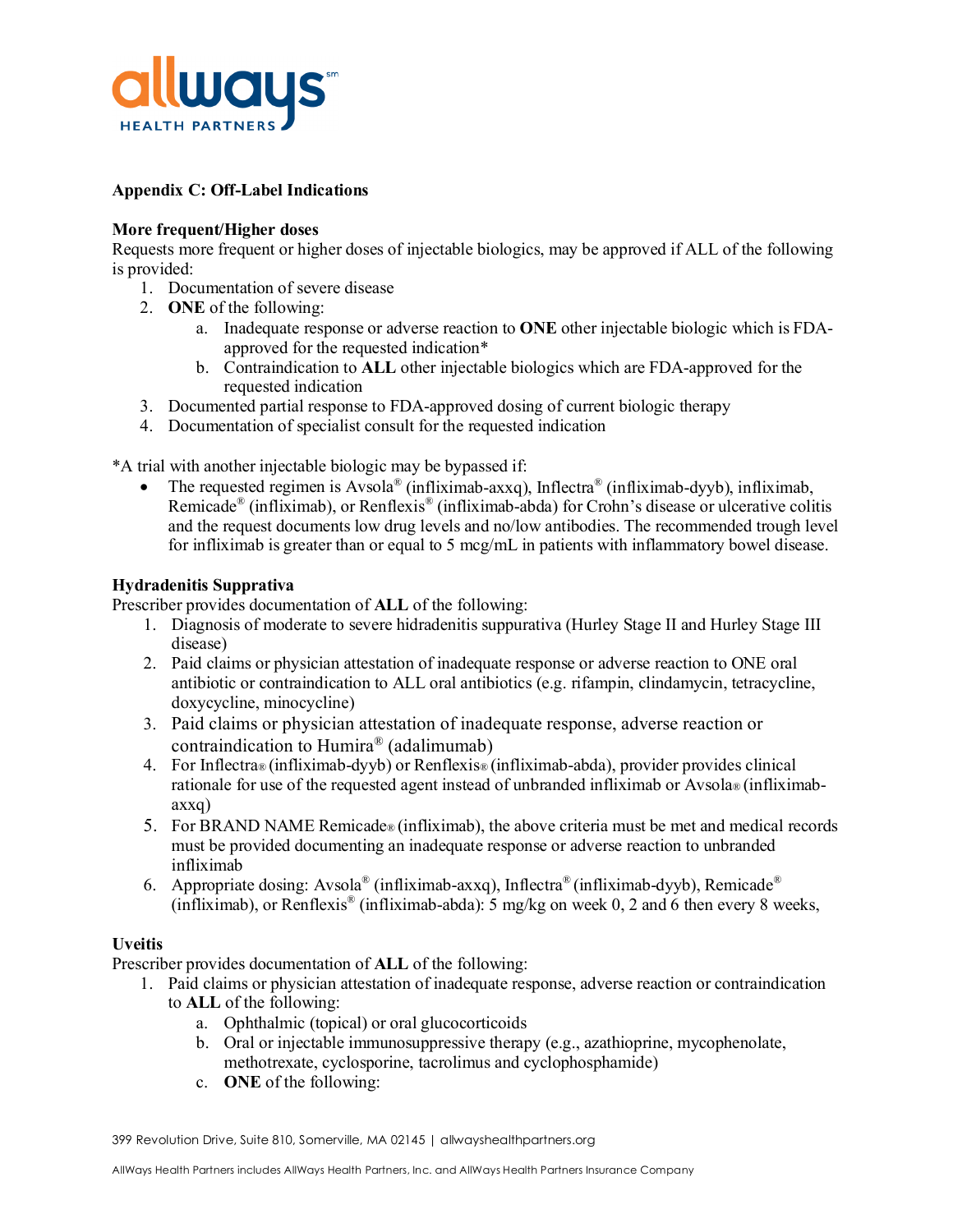

## **Appendix C: Off-Label Indications**

## **More frequent/Higher doses**

Requests more frequent or higher doses of injectable biologics, may be approved if ALL of the following is provided:

- 1. Documentation of severe disease
- 2. **ONE** of the following:
	- a. Inadequate response or adverse reaction to **ONE** other injectable biologic which is FDAapproved for the requested indication\*
	- b. Contraindication to **ALL** other injectable biologics which are FDA-approved for the requested indication
- 3. Documented partial response to FDA-approved dosing of current biologic therapy
- 4. Documentation of specialist consult for the requested indication

\*A trial with another injectable biologic may be bypassed if:

• The requested regimen is Avsola<sup>®</sup> (infliximab-axxq), Inflectra<sup>®</sup> (infliximab-dyyb), infliximab, Remicade® (infliximab), or Renflexis® (infliximab-abda) for Crohn's disease or ulcerative colitis and the request documents low drug levels and no/low antibodies. The recommended trough level for infliximab is greater than or equal to 5 mcg/mL in patients with inflammatory bowel disease.

## **Hydradenitis Supprativa**

Prescriber provides documentation of **ALL** of the following:

- 1. Diagnosis of moderate to severe hidradenitis suppurativa (Hurley Stage II and Hurley Stage III disease)
- 2. Paid claims or physician attestation of inadequate response or adverse reaction to ONE oral antibiotic or contraindication to ALL oral antibiotics (e.g. rifampin, clindamycin, tetracycline, doxycycline, minocycline)
- 3. Paid claims or physician attestation of inadequate response, adverse reaction or contraindication to Humira® (adalimumab)
- 4. For Inflectra® (infliximab-dyyb) or Renflexis® (infliximab-abda), provider provides clinical rationale for use of the requested agent instead of unbranded infliximab or Avsola® (infliximabaxxq)
- 5. For BRAND NAME Remicade® (infliximab), the above criteria must be met and medical records must be provided documenting an inadequate response or adverse reaction to unbranded infliximab
- 6. Appropriate dosing: Avsola<sup>®</sup> (infliximab-axxq), Inflectra<sup>®</sup> (infliximab-dyyb), Remicade<sup>®</sup> (infliximab), or Renflexis<sup>®</sup> (infliximab-abda): 5 mg/kg on week 0, 2 and 6 then every 8 weeks,

## **Uveitis**

Prescriber provides documentation of **ALL** of the following:

- 1. Paid claims or physician attestation of inadequate response, adverse reaction or contraindication to **ALL** of the following:
	- a. Ophthalmic (topical) or oral glucocorticoids
	- b. Oral or injectable immunosuppressive therapy (e.g., azathioprine, mycophenolate, methotrexate, cyclosporine, tacrolimus and cyclophosphamide)
	- c. **ONE** of the following:

399 Revolution Drive, Suite 810, Somerville, MA 02145 | allwayshealthpartners.org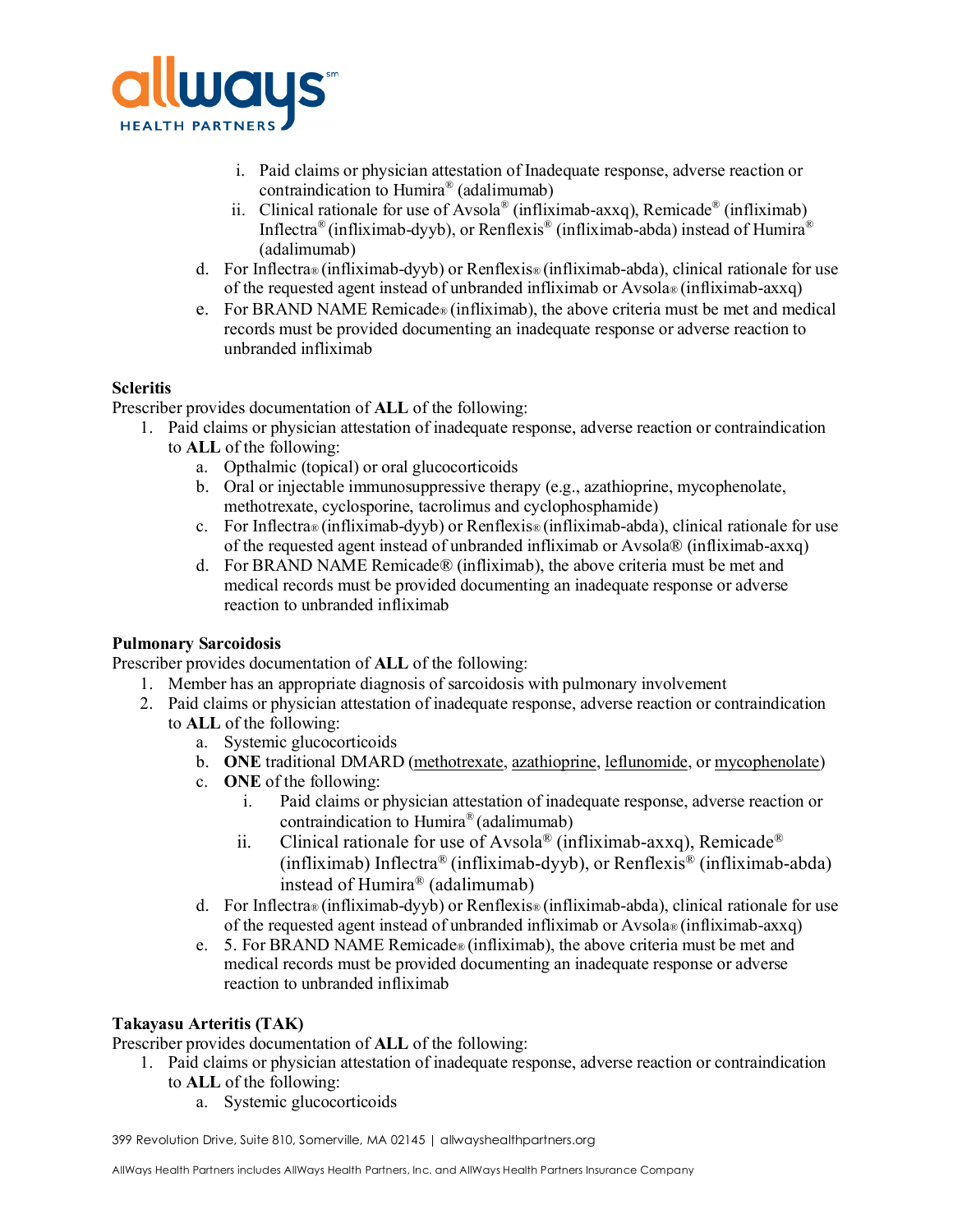

- i. Paid claims or physician attestation of Inadequate response, adverse reaction or contraindication to Humira® (adalimumab)
- ii. Clinical rationale for use of Avsola<sup>®</sup> (infliximab-axxq), Remicade<sup>®</sup> (infliximab) Inflectra® (infliximab-dyyb), or Renflexis® (infliximab-abda) instead of Humira® (adalimumab)
- d. For Inflectra® (infliximab-dyyb) or Renflexis® (infliximab-abda), clinical rationale for use of the requested agent instead of unbranded infliximab or Avsola® (infliximab-axxq)
- e. For BRAND NAME Remicade® (infliximab), the above criteria must be met and medical records must be provided documenting an inadequate response or adverse reaction to unbranded infliximab

## **Scleritis**

Prescriber provides documentation of **ALL** of the following:

- 1. Paid claims or physician attestation of inadequate response, adverse reaction or contraindication
	- to **ALL** of the following:
		- a. Opthalmic (topical) or oral glucocorticoids
		- b. Oral or injectable immunosuppressive therapy (e.g., azathioprine, mycophenolate, methotrexate, cyclosporine, tacrolimus and cyclophosphamide)
		- c. For Inflectra® (infliximab-dyyb) or Renflexis® (infliximab-abda), clinical rationale for use of the requested agent instead of unbranded infliximab or Avsola® (infliximab-axxq)
		- d. For BRAND NAME Remicade® (infliximab), the above criteria must be met and medical records must be provided documenting an inadequate response or adverse reaction to unbranded infliximab

## **Pulmonary Sarcoidosis**

Prescriber provides documentation of **ALL** of the following:

- 1. Member has an appropriate diagnosis of sarcoidosis with pulmonary involvement
- 2. Paid claims or physician attestation of inadequate response, adverse reaction or contraindication
	- to **ALL** of the following:
		- a. Systemic glucocorticoids
		- b. **ONE** traditional DMARD [\(methotrexate,](https://www-uptodate-com.umassmed.idm.oclc.org/contents/methotrexate-drug-information?search=sarcoidosis&topicRef=4325&source=see_link) [azathioprine,](https://www-uptodate-com.umassmed.idm.oclc.org/contents/azathioprine-drug-information?search=sarcoidosis&topicRef=4325&source=see_link) [leflunomide,](https://www-uptodate-com.umassmed.idm.oclc.org/contents/leflunomide-drug-information?search=sarcoidosis&topicRef=4325&source=see_link) or [mycophenolate\)](https://www-uptodate-com.umassmed.idm.oclc.org/contents/mycophenolate-mofetil-cellcept-and-mycophenolate-sodium-myfortic-drug-information?search=sarcoidosis&topicRef=4325&source=see_link)
		- c. **ONE** of the following:
			- i. Paid claims or physician attestation of inadequate response, adverse reaction or contraindication to Humira® (adalimumab)
			- ii. Clinical rationale for use of Avsola<sup>®</sup> (infliximab-axxq), Remicade<sup>®</sup> (infliximab) Inflectra<sup>®</sup> (infliximab-dyyb), or Renflexis<sup>®</sup> (infliximab-abda) instead of Humira® (adalimumab)
		- d. For Inflectra® (infliximab-dyyb) or Renflexis® (infliximab-abda), clinical rationale for use of the requested agent instead of unbranded infliximab or Avsola® (infliximab-axxq)
		- e. 5. For BRAND NAME Remicade® (infliximab), the above criteria must be met and medical records must be provided documenting an inadequate response or adverse reaction to unbranded infliximab

## **Takayasu Arteritis (TAK)**

Prescriber provides documentation of **ALL** of the following:

- 1. Paid claims or physician attestation of inadequate response, adverse reaction or contraindication to **ALL** of the following:
	- a. Systemic glucocorticoids

399 Revolution Drive, Suite 810, Somerville, MA 02145 | allwayshealthpartners.org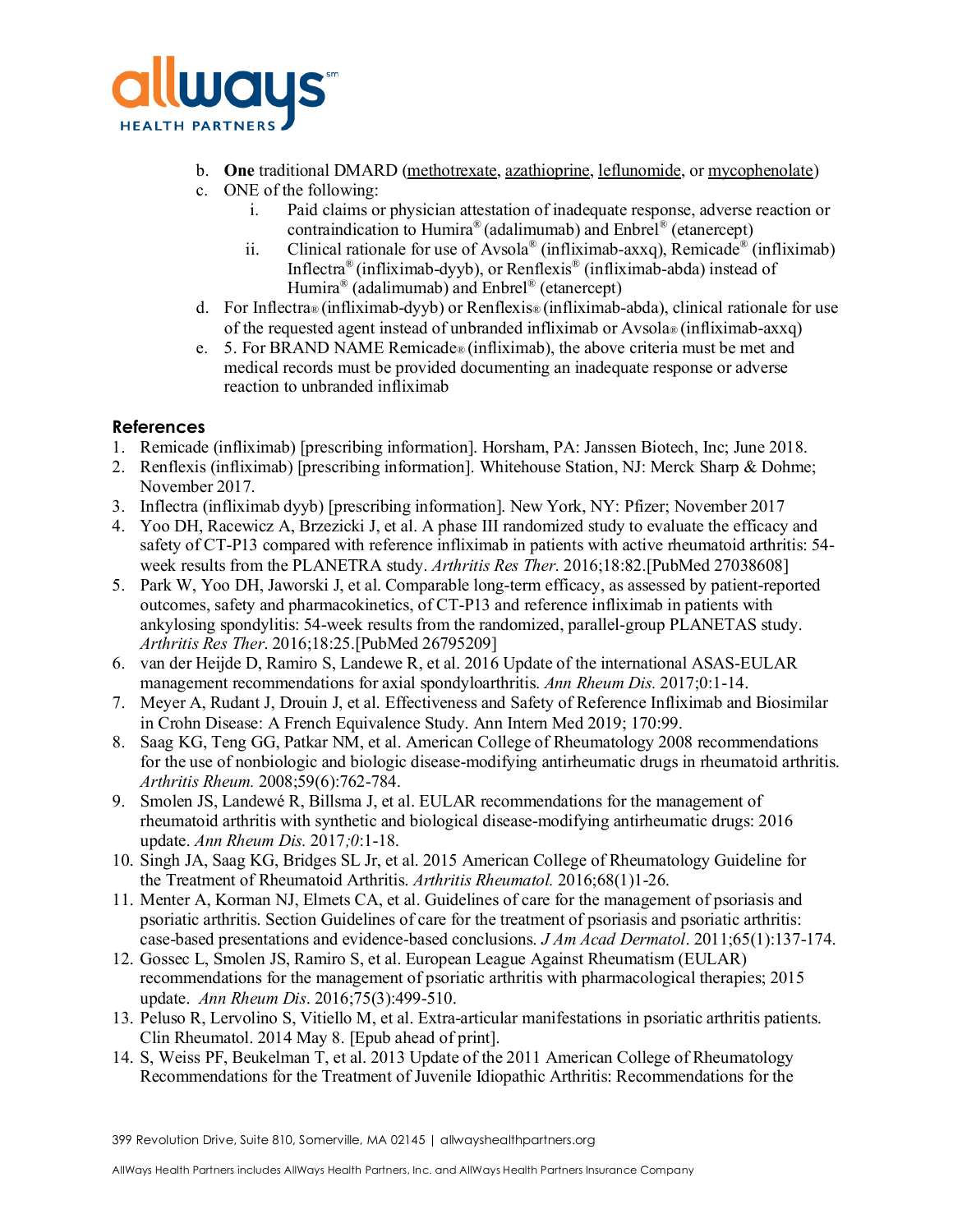

- b. **One** traditional DMARD [\(methotrexate,](https://www-uptodate-com.umassmed.idm.oclc.org/contents/methotrexate-drug-information?search=sarcoidosis&topicRef=4325&source=see_link) [azathioprine,](https://www-uptodate-com.umassmed.idm.oclc.org/contents/azathioprine-drug-information?search=sarcoidosis&topicRef=4325&source=see_link) [leflunomide,](https://www-uptodate-com.umassmed.idm.oclc.org/contents/leflunomide-drug-information?search=sarcoidosis&topicRef=4325&source=see_link) or [mycophenolate\)](https://www-uptodate-com.umassmed.idm.oclc.org/contents/mycophenolate-mofetil-cellcept-and-mycophenolate-sodium-myfortic-drug-information?search=sarcoidosis&topicRef=4325&source=see_link)
- c. ONE of the following:
	- i. Paid claims or physician attestation of inadequate response, adverse reaction or contraindication to Humira® (adalimumab) and Enbrel® (etanercept)
	- ii. Clinical rationale for use of Avsola<sup>®</sup> (infliximab-axxq), Remicade<sup>®</sup> (infliximab) Inflectra® (infliximab-dyyb), or Renflexis® (infliximab-abda) instead of Humira® (adalimumab) and Enbrel® (etanercept)
- d. For Inflectra® (infliximab-dyyb) or Renflexis® (infliximab-abda), clinical rationale for use of the requested agent instead of unbranded infliximab or Avsola® (infliximab-axxq)
- e. 5. For BRAND NAME Remicade® (infliximab), the above criteria must be met and medical records must be provided documenting an inadequate response or adverse reaction to unbranded infliximab

# **References**

- 1. Remicade (infliximab) [prescribing information]. Horsham, PA: Janssen Biotech, Inc; June 2018.
- 2. Renflexis (infliximab) [prescribing information]. Whitehouse Station, NJ: Merck Sharp & Dohme; November 2017.
- 3. Inflectra (infliximab dyyb) [prescribing information]. New York, NY: Pfizer; November 2017
- 4. Yoo DH, Racewicz A, Brzezicki J, et al. A phase III randomized study to evaluate the efficacy and safety of CT-P13 compared with reference infliximab in patients with active rheumatoid arthritis: 54 week results from the PLANETRA study. *Arthritis Res Ther*. 2016;18:82.[PubMed 27038608]
- 5. Park W, Yoo DH, Jaworski J, et al. Comparable long-term efficacy, as assessed by patient-reported outcomes, safety and pharmacokinetics, of CT-P13 and reference infliximab in patients with ankylosing spondylitis: 54-week results from the randomized, parallel-group PLANETAS study. *Arthritis Res Ther*. 2016;18:25.[PubMed 26795209]
- 6. van der Heijde D, Ramiro S, Landewe R, et al. 2016 Update of the international ASAS-EULAR management recommendations for axial spondyloarthritis. *Ann Rheum Dis.* 2017;0:1-14.
- 7. [Meyer A, Rudant J, Drouin J, et al. Effectiveness and Safety of Reference Infliximab and Biosimilar](https://www.uptodate.com/contents/overview-of-medical-management-of-high-risk-adult-patients-with-moderate-to-severe-crohn-disease/abstract/28)  [in Crohn Disease: A French Equivalence Study. Ann Intern Med 2019; 170:99.](https://www.uptodate.com/contents/overview-of-medical-management-of-high-risk-adult-patients-with-moderate-to-severe-crohn-disease/abstract/28)
- 8. Saag KG, Teng GG, Patkar NM, et al. American College of Rheumatology 2008 recommendations for the use of nonbiologic and biologic disease-modifying antirheumatic drugs in rheumatoid arthritis. *Arthritis Rheum.* 2008;59(6):762-784.
- 9. Smolen JS, Landewé R, Billsma J, et al. EULAR recommendations for the management of rheumatoid arthritis with synthetic and biological disease-modifying antirheumatic drugs: 2016 update. *Ann Rheum Dis.* 2017*;0*:1-18.
- 10. Singh JA, Saag KG, Bridges SL Jr, et al. 2015 American College of Rheumatology Guideline for the Treatment of Rheumatoid Arthritis. *Arthritis Rheumatol.* 2016;68(1)1-26.
- 11. Menter A, Korman NJ, Elmets CA, et al. Guidelines of care for the management of psoriasis and psoriatic arthritis. Section Guidelines of care for the treatment of psoriasis and psoriatic arthritis: case-based presentations and evidence-based conclusions. *J Am Acad Dermatol*. 2011;65(1):137-174.
- 12. Gossec L, Smolen JS, Ramiro S, et al. European League Against Rheumatism (EULAR) recommendations for the management of psoriatic arthritis with pharmacological therapies; 2015 update. *[Ann Rheum Dis](http://www.ncbi.nlm.nih.gov/pubmed/?term=European+League+Against+Rheumatism+(EULAR)+recommendations+for+the+management+of+psoriatic+arthritis+with+pharmacological+therapies%3A+2015+update)*. 2016;75(3):499-510.
- 13. Peluso R, Lervolino S, Vitiello M, et al. Extra-articular manifestations in psoriatic arthritis patients. Clin Rheumatol. 2014 May 8. [Epub ahead of print].
- 14. S, Weiss PF, Beukelman T, et al. 2013 Update of the 2011 American College of Rheumatology Recommendations for the Treatment of Juvenile Idiopathic Arthritis: Recommendations for the